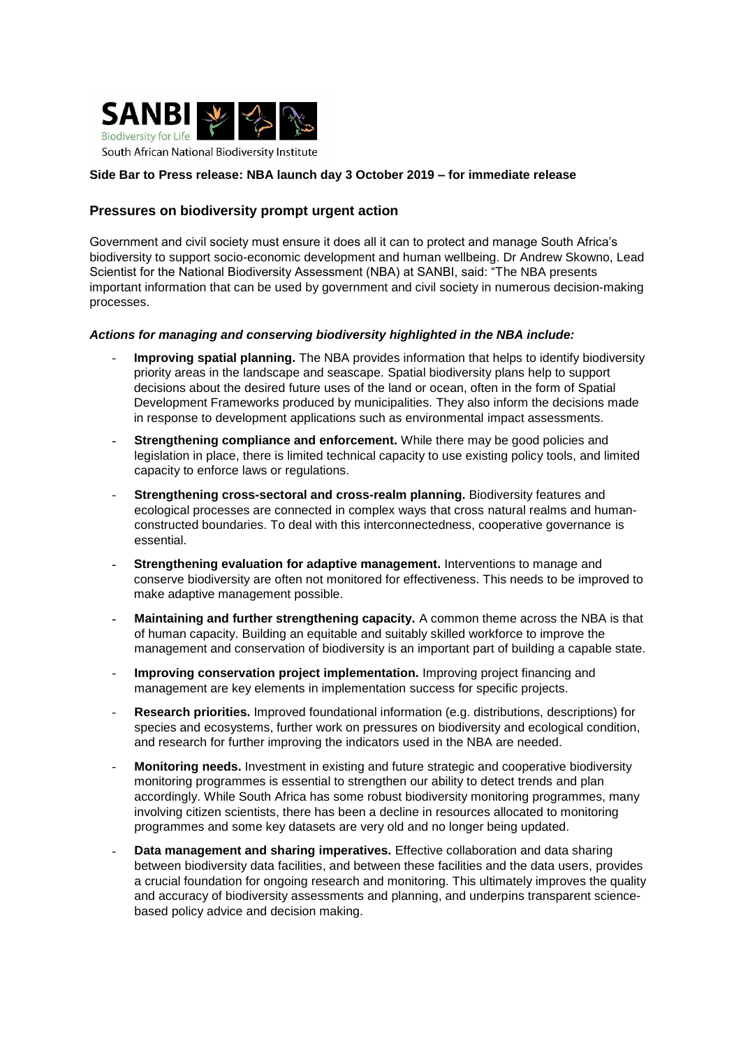

## **Side Bar to Press release: NBA launch day 3 October 2019 – for immediate release**

# **Pressures on biodiversity prompt urgent action**

Government and civil society must ensure it does all it can to protect and manage South Africa's biodiversity to support socio-economic development and human wellbeing. Dr Andrew Skowno, Lead Scientist for the National Biodiversity Assessment (NBA) at SANBI, said: "The NBA presents important information that can be used by government and civil society in numerous decision-making processes.

#### *Actions for managing and conserving biodiversity highlighted in the NBA include:*

- **Improving spatial planning.** The NBA provides information that helps to identify biodiversity priority areas in the landscape and seascape. Spatial biodiversity plans help to support decisions about the desired future uses of the land or ocean, often in the form of Spatial Development Frameworks produced by municipalities. They also inform the decisions made in response to development applications such as environmental impact assessments.
- **Strengthening compliance and enforcement.** While there may be good policies and legislation in place, there is limited technical capacity to use existing policy tools, and limited capacity to enforce laws or regulations.
- **Strengthening cross-sectoral and cross-realm planning.** Biodiversity features and ecological processes are connected in complex ways that cross natural realms and humanconstructed boundaries. To deal with this interconnectedness, cooperative governance is essential.
- **Strengthening evaluation for adaptive management.** Interventions to manage and conserve biodiversity are often not monitored for effectiveness. This needs to be improved to make adaptive management possible.
- **Maintaining and further strengthening capacity.** A common theme across the NBA is that of human capacity. Building an equitable and suitably skilled workforce to improve the management and conservation of biodiversity is an important part of building a capable state.
- **Improving conservation project implementation.** Improving project financing and  $\overline{a}$ management are key elements in implementation success for specific projects.
- **Research priorities.** Improved foundational information (e.g. distributions, descriptions) for species and ecosystems, further work on pressures on biodiversity and ecological condition, and research for further improving the indicators used in the NBA are needed.
- **Monitoring needs.** Investment in existing and future strategic and cooperative biodiversity monitoring programmes is essential to strengthen our ability to detect trends and plan accordingly. While South Africa has some robust biodiversity monitoring programmes, many involving citizen scientists, there has been a decline in resources allocated to monitoring programmes and some key datasets are very old and no longer being updated.
- **Data management and sharing imperatives.** Effective collaboration and data sharing between biodiversity data facilities, and between these facilities and the data users, provides a crucial foundation for ongoing research and monitoring. This ultimately improves the quality and accuracy of biodiversity assessments and planning, and underpins transparent sciencebased policy advice and decision making.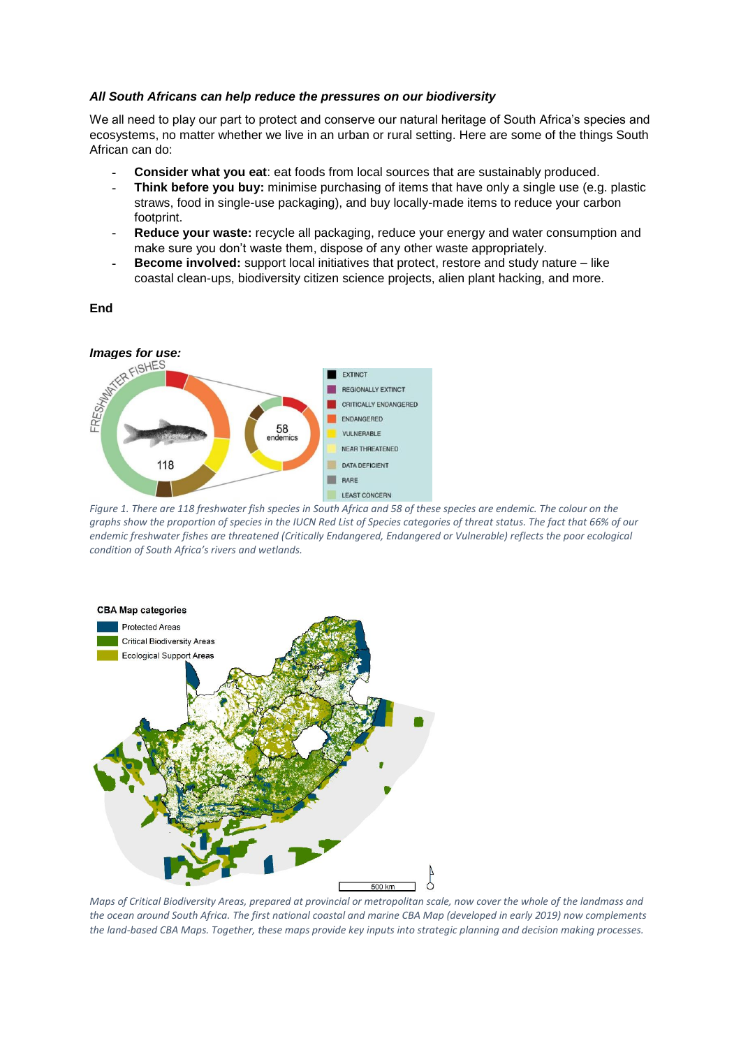#### *All South Africans can help reduce the pressures on our biodiversity*

We all need to play our part to protect and conserve our natural heritage of South Africa's species and ecosystems, no matter whether we live in an urban or rural setting. Here are some of the things South African can do:

- **Consider what you eat**: eat foods from local sources that are sustainably produced.
- $\mathbf{r}$ **Think before you buy:** minimise purchasing of items that have only a single use (e.g. plastic straws, food in single-use packaging), and buy locally-made items to reduce your carbon footprint.
- **Reduce your waste:** recycle all packaging, reduce your energy and water consumption and make sure you don't waste them, dispose of any other waste appropriately.
- **Become involved:** support local initiatives that protect, restore and study nature like coastal clean-ups, biodiversity citizen science projects, alien plant hacking, and more.

### **End**



*Figure 1. There are 118 freshwater fish species in South Africa and 58 of these species are endemic. The colour on the graphs show the proportion of species in the IUCN Red List of Species categories of threat status. The fact that 66% of our endemic freshwater fishes are threatened (Critically Endangered, Endangered or Vulnerable) reflects the poor ecological condition of South Africa's rivers and wetlands.*



*Maps of Critical Biodiversity Areas, prepared at provincial or metropolitan scale, now cover the whole of the landmass and the ocean around South Africa. The first national coastal and marine CBA Map (developed in early 2019) now complements the land-based CBA Maps. Together, these maps provide key inputs into strategic planning and decision making processes.*